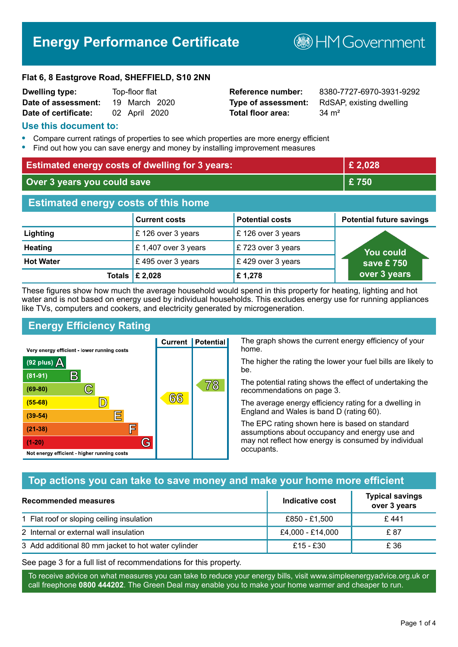## **Energy Performance Certificate**

**B**HM Government

#### **Flat 6, 8 Eastgrove Road, SHEFFIELD, S10 2NN**

| <b>Dwelling type:</b> | Top-floor flat |               |               |
|-----------------------|----------------|---------------|---------------|
| Date of assessment:   |                |               | 19 March 2020 |
| Date of certificate:  |                | 02 April 2020 |               |

# **Total floor area:** 34 m<sup>2</sup>

**Reference number:** 8380-7727-6970-3931-9292 **Type of assessment:** RdSAP, existing dwelling

#### **Use this document to:**

- **•** Compare current ratings of properties to see which properties are more energy efficient
- **•** Find out how you can save energy and money by installing improvement measures

| <b>Estimated energy costs of dwelling for 3 years:</b> |                           | £ 2,028                |                                 |
|--------------------------------------------------------|---------------------------|------------------------|---------------------------------|
| Over 3 years you could save                            |                           | £750                   |                                 |
| <b>Estimated energy costs of this home</b>             |                           |                        |                                 |
|                                                        | <b>Current costs</b>      | <b>Potential costs</b> | <b>Potential future savings</b> |
| Lighting                                               | £126 over 3 years         | £126 over 3 years      |                                 |
| <b>Heating</b>                                         | £1,407 over 3 years       | £723 over 3 years      | You could                       |
| <b>Hot Water</b>                                       | £495 over 3 years         | £429 over 3 years      | save £750                       |
|                                                        | Totals $\mathsf{E}$ 2,028 | £1,278                 | over 3 years                    |

These figures show how much the average household would spend in this property for heating, lighting and hot water and is not based on energy used by individual households. This excludes energy use for running appliances like TVs, computers and cookers, and electricity generated by microgeneration.

**Current | Potential** 

 $66$ 

### **Energy Efficiency Rating**

 $\mathbb{C}$ 

 $\mathbb{D}$ 

E

F

G

Very energy efficient - lower running costs

R

Not energy efficient - higher running costs

(92 plus)  $\Delta$ 

 $(81 - 91)$ 

 $(69 - 80)$ 

 $(55-68)$ 

 $(39 - 54)$ 

 $(21-38)$ 

 $(1-20)$ 

The graph shows the current energy efficiency of your home.

The higher the rating the lower your fuel bills are likely to be.

The potential rating shows the effect of undertaking the recommendations on page 3.

The average energy efficiency rating for a dwelling in England and Wales is band D (rating 60).

The EPC rating shown here is based on standard assumptions about occupancy and energy use and may not reflect how energy is consumed by individual occupants.

#### **Top actions you can take to save money and make your home more efficient**

78

| Recommended measures                                | Indicative cost  | <b>Typical savings</b><br>over 3 years |
|-----------------------------------------------------|------------------|----------------------------------------|
| 1 Flat roof or sloping ceiling insulation           | £850 - £1,500    | £441                                   |
| 2 Internal or external wall insulation              | £4,000 - £14,000 | £ 87                                   |
| 3 Add additional 80 mm jacket to hot water cylinder | $£15 - £30$      | £ 36                                   |

See page 3 for a full list of recommendations for this property.

To receive advice on what measures you can take to reduce your energy bills, visit www.simpleenergyadvice.org.uk or call freephone **0800 444202**. The Green Deal may enable you to make your home warmer and cheaper to run.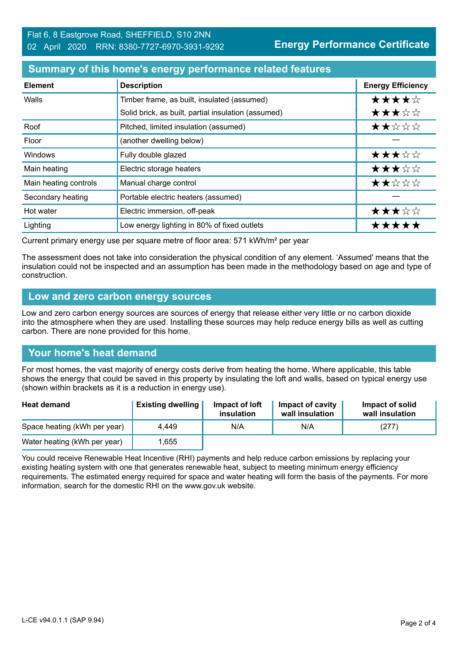#### **Summary of this home's energy performance related features**

| <b>Element</b>        | <b>Description</b>                                  | <b>Energy Efficiency</b> |
|-----------------------|-----------------------------------------------------|--------------------------|
| Walls                 | Timber frame, as built, insulated (assumed)         | ★★★★☆                    |
|                       | Solid brick, as built, partial insulation (assumed) | ★★★☆☆                    |
| Roof                  | Pitched, limited insulation (assumed)               | ★★☆☆☆                    |
| Floor                 | (another dwelling below)                            |                          |
| <b>Windows</b>        | Fully double glazed                                 | ★★★☆☆                    |
| Main heating          | Electric storage heaters                            | ★★★☆☆                    |
| Main heating controls | Manual charge control                               | ★★☆☆☆                    |
| Secondary heating     | Portable electric heaters (assumed)                 |                          |
| Hot water             | Electric immersion, off-peak                        | ★★★☆☆                    |
| Lighting              | Low energy lighting in 80% of fixed outlets         | *****                    |

Current primary energy use per square metre of floor area: 571 kWh/m² per year

The assessment does not take into consideration the physical condition of any element. 'Assumed' means that the insulation could not be inspected and an assumption has been made in the methodology based on age and type of construction.

#### **Low and zero carbon energy sources**

Low and zero carbon energy sources are sources of energy that release either very little or no carbon dioxide into the atmosphere when they are used. Installing these sources may help reduce energy bills as well as cutting carbon. There are none provided for this home.

#### **Your home's heat demand**

For most homes, the vast majority of energy costs derive from heating the home. Where applicable, this table shows the energy that could be saved in this property by insulating the loft and walls, based on typical energy use (shown within brackets as it is a reduction in energy use).

| <b>Heat demand</b>           | <b>Existing dwelling</b> | Impact of loft<br>insulation | Impact of cavity<br>wall insulation | Impact of solid<br>wall insulation |
|------------------------------|--------------------------|------------------------------|-------------------------------------|------------------------------------|
| Space heating (kWh per year) | 4.449                    | N/A                          | N/A                                 | (277)                              |
| Water heating (kWh per year) | ,655                     |                              |                                     |                                    |

You could receive Renewable Heat Incentive (RHI) payments and help reduce carbon emissions by replacing your existing heating system with one that generates renewable heat, subject to meeting minimum energy efficiency requirements. The estimated energy required for space and water heating will form the basis of the payments. For more information, search for the domestic RHI on the www.gov.uk website.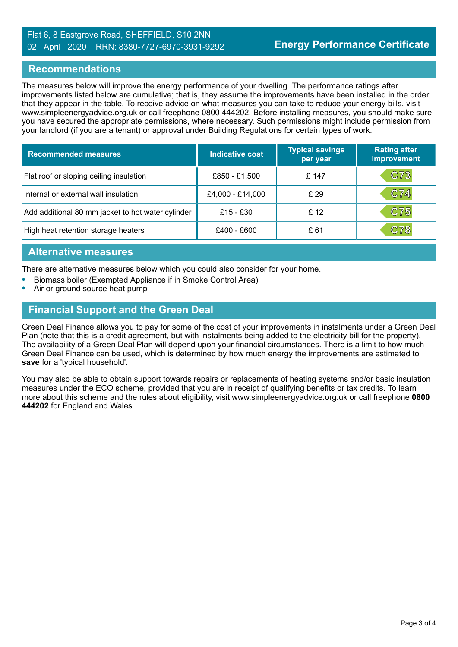#### Flat 6, 8 Eastgrove Road, SHEFFIELD, S10 2NN 02 April 2020 RRN: 8380-7727-6970-3931-9292

#### **Recommendations**

The measures below will improve the energy performance of your dwelling. The performance ratings after improvements listed below are cumulative; that is, they assume the improvements have been installed in the order that they appear in the table. To receive advice on what measures you can take to reduce your energy bills, visit www.simpleenergyadvice.org.uk or call freephone 0800 444202. Before installing measures, you should make sure you have secured the appropriate permissions, where necessary. Such permissions might include permission from your landlord (if you are a tenant) or approval under Building Regulations for certain types of work.

| <b>Recommended measures</b>                       | <b>Indicative cost</b> | <b>Typical savings</b><br>per year | <b>Rating after</b><br>improvement |
|---------------------------------------------------|------------------------|------------------------------------|------------------------------------|
| Flat roof or sloping ceiling insulation           | £850 - £1,500          | £ 147                              | C73                                |
| Internal or external wall insulation              | £4,000 - £14,000       | £29                                | C74                                |
| Add additional 80 mm jacket to hot water cylinder | £15 - £30              | £12                                | C75                                |
| High heat retention storage heaters               | £400 - £600            | £ 61                               | C78                                |

#### **Alternative measures**

There are alternative measures below which you could also consider for your home.

- **•** Biomass boiler (Exempted Appliance if in Smoke Control Area)
- **•** Air or ground source heat pump

#### **Financial Support and the Green Deal**

Green Deal Finance allows you to pay for some of the cost of your improvements in instalments under a Green Deal Plan (note that this is a credit agreement, but with instalments being added to the electricity bill for the property). The availability of a Green Deal Plan will depend upon your financial circumstances. There is a limit to how much Green Deal Finance can be used, which is determined by how much energy the improvements are estimated to **save** for a 'typical household'.

You may also be able to obtain support towards repairs or replacements of heating systems and/or basic insulation measures under the ECO scheme, provided that you are in receipt of qualifying benefits or tax credits. To learn more about this scheme and the rules about eligibility, visit www.simpleenergyadvice.org.uk or call freephone **0800 444202** for England and Wales.